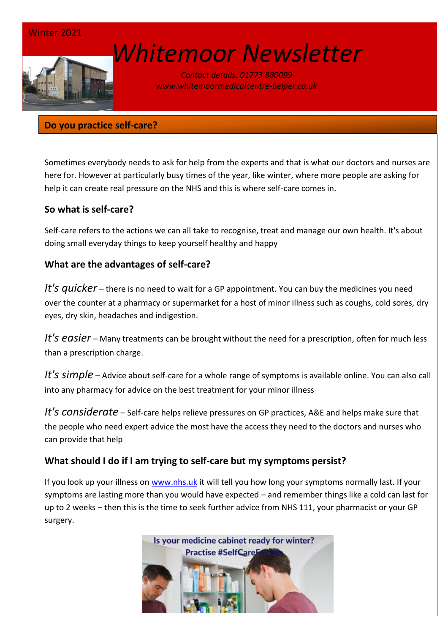

# *[W](http://www.google.co.uk/url?sa=i&rct=j&q=&esrc=s&source=images&cd=&cad=rja&uact=8&ved=0ahUKEwin-cyyiKnSAhVEWBQKHSM6ALcQjRwIBw&url=http://www.marsh-associates.org/marsh%20associates%20healthcare.html&psig=AFQjCNFsQSs3O1ON_CSbThOIRhZZ0AZsGQ&ust=1488037117603691)hitemoor Newsletter*

*Contact details: 01773 880099 www.whitemoormedicalcentre-belper.co.uk*

#### **Do you practice self-care?**

Sometimes everybody needs to ask for help from the experts and that is what our doctors and nurses are here for. However at particularly busy times of the year, like winter, where more people are asking for help it can create real pressure on the NHS and this is where self-care comes in.

# **So what is self-care?**

Self-care refers to the actions we can all take to recognise, treat and manage our own health. It's about doing small everyday things to keep yourself healthy and happy

# **What are the advantages of self-care?**

*It's quicker* – there is no need to wait for a GP appointment. You can buy the medicines you need over the counter at a pharmacy or supermarket for a host of minor illness such as coughs, cold sores, dry eyes, dry skin, headaches and indigestion.

*It's easier* – Many treatments can be brought without the need for a prescription, often for much less than a prescription charge.

*It's simple* – Advice about self-care for a whole range of symptoms is available online. You can also call into any pharmacy for advice on the best treatment for your minor illness

*It's considerate* – Self-care helps relieve pressures on GP practices, A&E and helps make sure that the people who need expert advice the most have the access they need to the doctors and nurses who can provide that help

### **What should I do if I am trying to self-care but my symptoms persist?**

If you look up your illness on [www.nhs.uk](http://www.nhs.uk/) it will tell you how long your symptoms normally last. If your symptoms are lasting more than you would have expected – and remember things like a cold can last for up to 2 weeks – then this is the time to seek further advice from NHS 111, your pharmacist or your GP surgery.

> Is your medicine cabinet ready for winter? **Practise #SelfCareE**